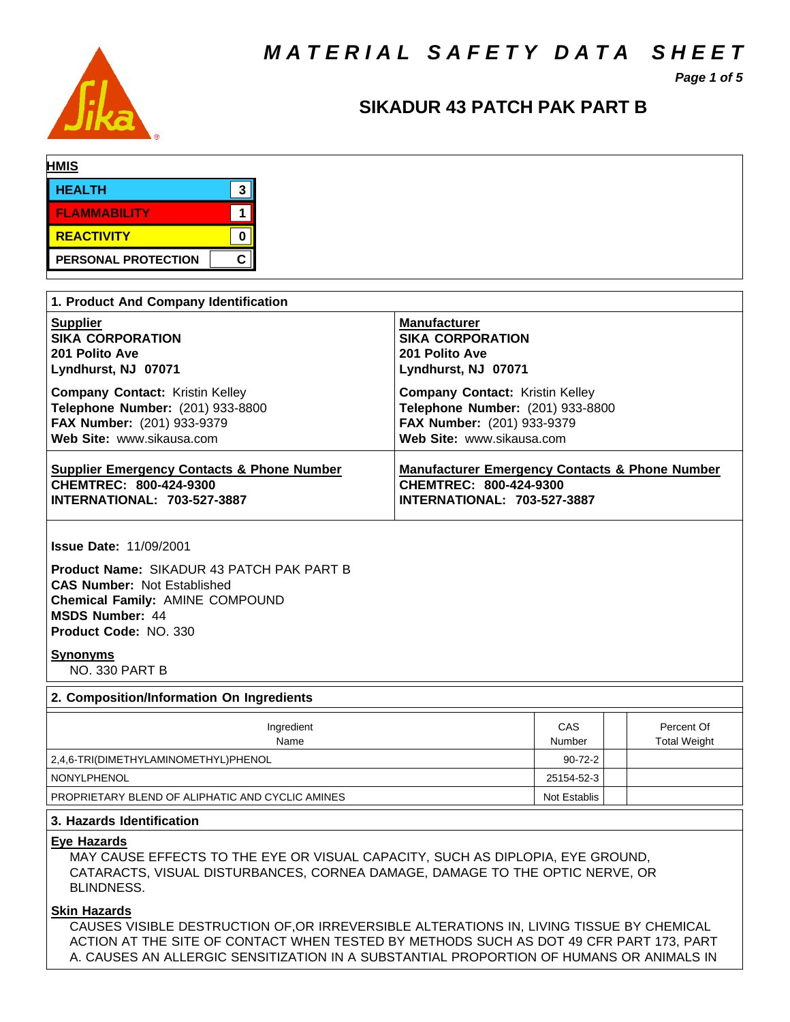*M A T E R I A L S A F E T Y D A T A S H E E T*



# *Page 1 of 5*

# **SIKADUR 43 PATCH PAK PART B**

| <b>HMIS</b> |                            |              |  |
|-------------|----------------------------|--------------|--|
|             | <b>HEALTH</b>              | ີ<br>w       |  |
|             | <b>FLAMMABILITY</b>        |              |  |
|             | <b>REACTIVITY</b>          |              |  |
|             | <b>PERSONAL PROTECTION</b> | $\mathbf{C}$ |  |

| 1. Product And Company Identification                                             |                                                           |  |  |  |
|-----------------------------------------------------------------------------------|-----------------------------------------------------------|--|--|--|
| <b>Supplier</b>                                                                   | <b>Manufacturer</b>                                       |  |  |  |
| <b>SIKA CORPORATION</b>                                                           | <b>SIKA CORPORATION</b>                                   |  |  |  |
| 201 Polito Ave                                                                    | 201 Polito Ave                                            |  |  |  |
| Lyndhurst, NJ 07071                                                               | Lyndhurst, NJ 07071                                       |  |  |  |
| <b>Company Contact: Kristin Kelley</b>                                            | <b>Company Contact: Kristin Kelley</b>                    |  |  |  |
| Telephone Number: (201) 933-8800                                                  | Telephone Number: (201) 933-8800                          |  |  |  |
| FAX Number: (201) 933-9379                                                        | FAX Number: (201) 933-9379                                |  |  |  |
| Web Site: www.sikausa.com                                                         | Web Site: www.sikausa.com                                 |  |  |  |
| <b>Supplier Emergency Contacts &amp; Phone Number</b>                             | <b>Manufacturer Emergency Contacts &amp; Phone Number</b> |  |  |  |
| CHEMTREC: 800-424-9300                                                            | CHEMTREC: 800-424-9300                                    |  |  |  |
| <b>INTERNATIONAL: 703-527-3887</b>                                                | <b>INTERNATIONAL: 703-527-3887</b>                        |  |  |  |
| <b>Issue Date: 11/09/2001</b><br><b>Product Name: SIKADUR 43 PATCH PAK PART B</b> |                                                           |  |  |  |

**CAS Number:** Not Established **Chemical Family:** AMINE COMPOUND **MSDS Number:** 44 **Product Code:** NO. 330

#### **Synonyms**

NO. 330 PART B

# **2. Composition/Information On Ingredients** Ingredient **CAS** Percent Of Name **Number | Total Weight** Number | Total Weight 2,4,6-TRI(DIMETHYLAMINOMETHYL)PHENOL 90-72-2 NONYLPHENOL 25154-52-3 PROPRIETARY BLEND OF ALIPHATIC AND CYCLIC AMINES Not Establis Not Establis

### **3. Hazards Identification**

### **Eye Hazards**

MAY CAUSE EFFECTS TO THE EYE OR VISUAL CAPACITY, SUCH AS DIPLOPIA, EYE GROUND, CATARACTS, VISUAL DISTURBANCES, CORNEA DAMAGE, DAMAGE TO THE OPTIC NERVE, OR BLINDNESS.

## **Skin Hazards**

CAUSES VISIBLE DESTRUCTION OF,OR IRREVERSIBLE ALTERATIONS IN, LIVING TISSUE BY CHEMICAL ACTION AT THE SITE OF CONTACT WHEN TESTED BY METHODS SUCH AS DOT 49 CFR PART 173, PART A. CAUSES AN ALLERGIC SENSITIZATION IN A SUBSTANTIAL PROPORTION OF HUMANS OR ANIMALS IN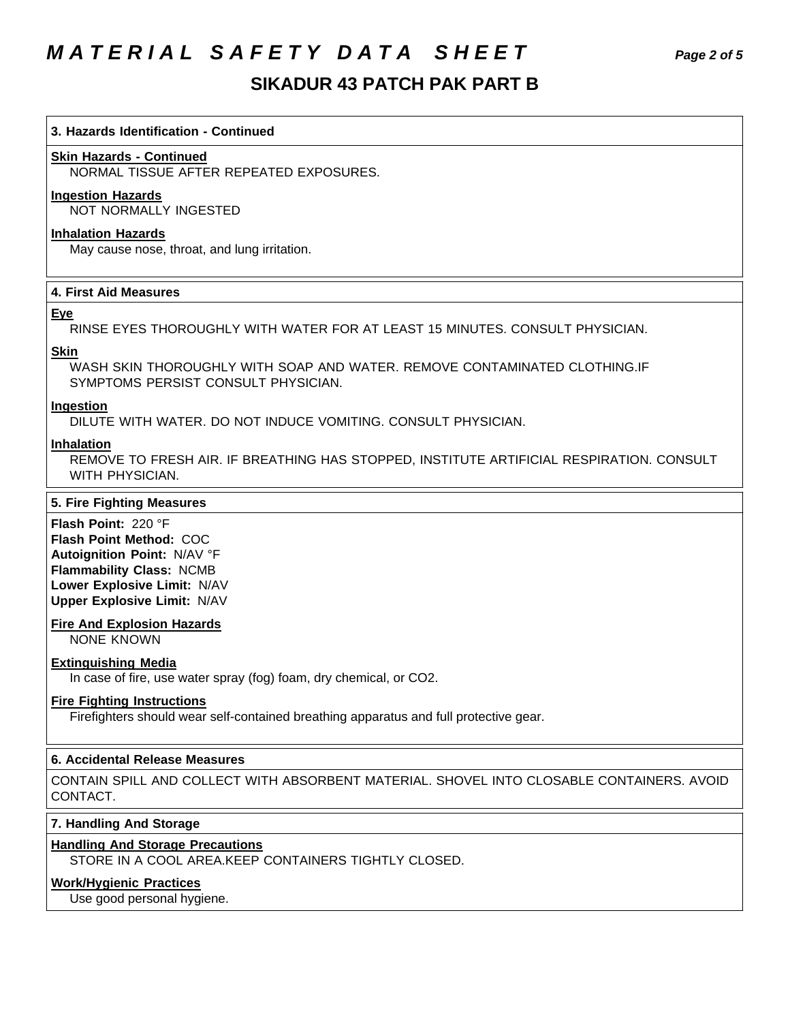# *M A T E R I A L S A F E T Y D A T A S H E E T Page 2 of 5*

# **SIKADUR 43 PATCH PAK PART B**

### **3. Hazards Identification - Continued**

## **Skin Hazards - Continued**

NORMAL TISSUE AFTER REPEATED EXPOSURES.

### **Ingestion Hazards**

NOT NORMALLY INGESTED

## **Inhalation Hazards**

May cause nose, throat, and lung irritation.

### **4. First Aid Measures**

### **Eye**

RINSE EYES THOROUGHLY WITH WATER FOR AT LEAST 15 MINUTES. CONSULT PHYSICIAN.

### **Skin**

WASH SKIN THOROUGHLY WITH SOAP AND WATER. REMOVE CONTAMINATED CLOTHING.IF SYMPTOMS PERSIST CONSULT PHYSICIAN.

### **Ingestion**

DILUTE WITH WATER. DO NOT INDUCE VOMITING. CONSULT PHYSICIAN.

### **Inhalation**

REMOVE TO FRESH AIR. IF BREATHING HAS STOPPED, INSTITUTE ARTIFICIAL RESPIRATION. CONSULT WITH PHYSICIAN.

### **5. Fire Fighting Measures**

**Flash Point:** 220 °F **Flash Point Method:** COC **Autoignition Point:** N/AV °F **Flammability Class:** NCMB **Lower Explosive Limit:** N/AV **Upper Explosive Limit:** N/AV

### **Fire And Explosion Hazards**

NONE KNOWN

### **Extinguishing Media**

In case of fire, use water spray (fog) foam, dry chemical, or CO2.

### **Fire Fighting Instructions**

Firefighters should wear self-contained breathing apparatus and full protective gear.

### **6. Accidental Release Measures**

CONTAIN SPILL AND COLLECT WITH ABSORBENT MATERIAL. SHOVEL INTO CLOSABLE CONTAINERS. AVOID CONTACT.

### **7. Handling And Storage**

### **Handling And Storage Precautions**

STORE IN A COOL AREA.KEEP CONTAINERS TIGHTLY CLOSED.

# **Work/Hygienic Practices**

Use good personal hygiene.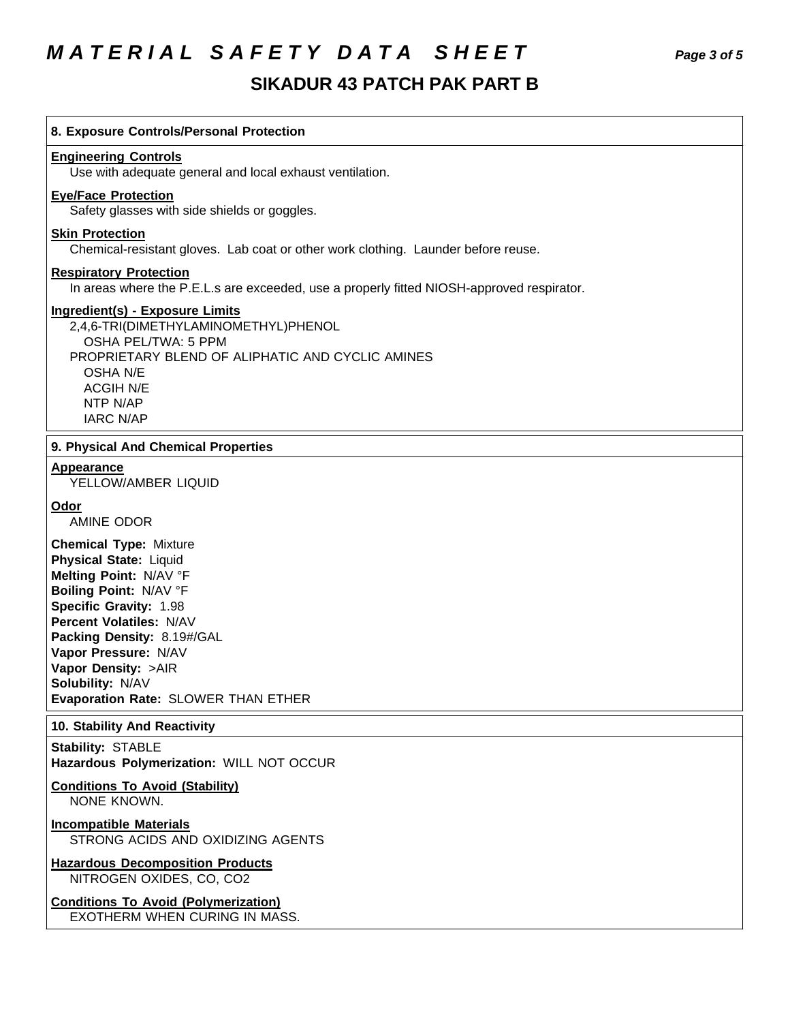# *M A T E R I A L S A F E T Y D A T A S H E E T Page 3 of 5*

# **SIKADUR 43 PATCH PAK PART B**

| 8. Exposure Controls/Personal Protection                                                                                                                                                                                                                                                                        |  |  |  |  |
|-----------------------------------------------------------------------------------------------------------------------------------------------------------------------------------------------------------------------------------------------------------------------------------------------------------------|--|--|--|--|
| <b>Engineering Controls</b><br>Use with adequate general and local exhaust ventilation.                                                                                                                                                                                                                         |  |  |  |  |
| <b>Eye/Face Protection</b><br>Safety glasses with side shields or goggles.                                                                                                                                                                                                                                      |  |  |  |  |
| <b>Skin Protection</b><br>Chemical-resistant gloves. Lab coat or other work clothing. Launder before reuse.                                                                                                                                                                                                     |  |  |  |  |
| <b>Respiratory Protection</b><br>In areas where the P.E.L.s are exceeded, use a properly fitted NIOSH-approved respirator.                                                                                                                                                                                      |  |  |  |  |
| <b>Ingredient(s) - Exposure Limits</b><br>2,4,6-TRI(DIMETHYLAMINOMETHYL)PHENOL<br>OSHA PEL/TWA: 5 PPM<br>PROPRIETARY BLEND OF ALIPHATIC AND CYCLIC AMINES<br><b>OSHA N/E</b><br><b>ACGIH N/E</b><br>NTP N/AP<br><b>IARC N/AP</b>                                                                                |  |  |  |  |
| 9. Physical And Chemical Properties                                                                                                                                                                                                                                                                             |  |  |  |  |
| <b>Appearance</b><br>YELLOW/AMBER LIQUID                                                                                                                                                                                                                                                                        |  |  |  |  |
| Odor<br><b>AMINE ODOR</b>                                                                                                                                                                                                                                                                                       |  |  |  |  |
| <b>Chemical Type: Mixture</b><br><b>Physical State: Liquid</b><br>Melting Point: N/AV °F<br>Boiling Point: N/AV °F<br>Specific Gravity: 1.98<br>Percent Volatiles: N/AV<br>Packing Density: 8.19#/GAL<br>Vapor Pressure: N/AV<br>Vapor Density: >AIR<br>Solubility: N/AV<br>Evaporation Rate: SLOWER THAN ETHER |  |  |  |  |
| 10. Stability And Reactivity                                                                                                                                                                                                                                                                                    |  |  |  |  |
| <b>Stability: STABLE</b><br>Hazardous Polymerization: WILL NOT OCCUR                                                                                                                                                                                                                                            |  |  |  |  |
| <b>Conditions To Avoid (Stability)</b><br>NONE KNOWN.                                                                                                                                                                                                                                                           |  |  |  |  |
| <b>Incompatible Materials</b><br>STRONG ACIDS AND OXIDIZING AGENTS                                                                                                                                                                                                                                              |  |  |  |  |
| <b>Hazardous Decomposition Products</b><br>NITROGEN OXIDES, CO, CO2                                                                                                                                                                                                                                             |  |  |  |  |
| <b>Conditions To Avoid (Polymerization)</b><br>EXOTHERM WHEN CURING IN MASS.                                                                                                                                                                                                                                    |  |  |  |  |
|                                                                                                                                                                                                                                                                                                                 |  |  |  |  |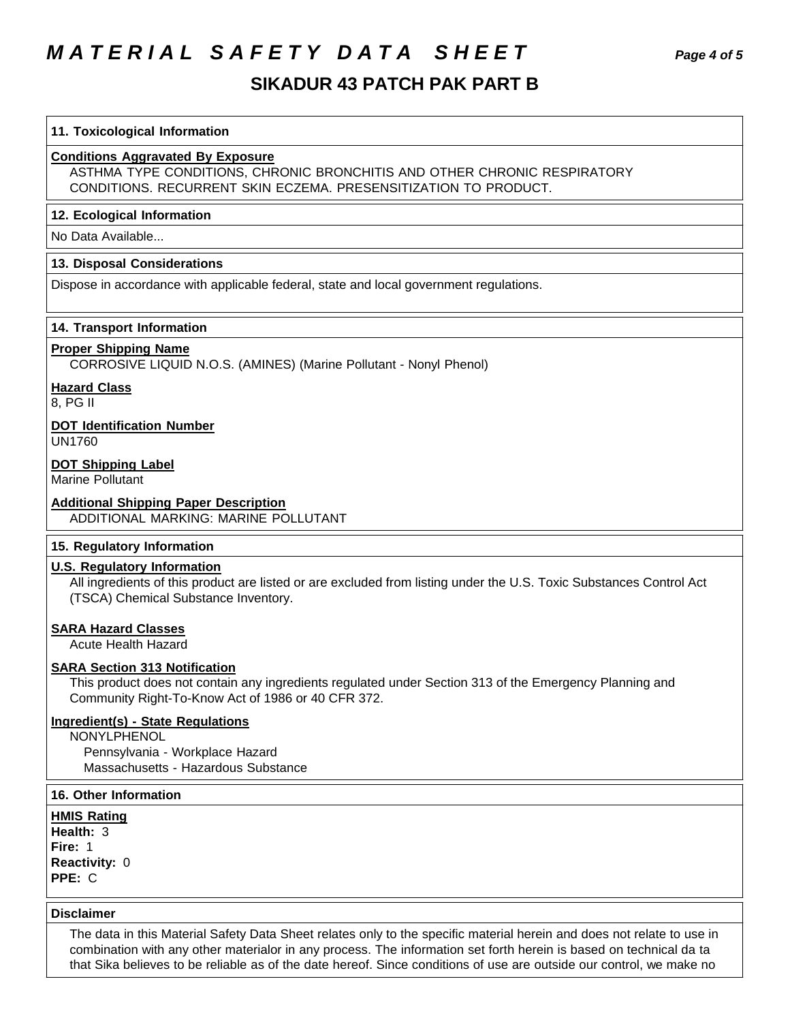# *M A T E R I A L S A F E T Y D A T A S H E E T Page 4 of 5*

# **SIKADUR 43 PATCH PAK PART B**

### **11. Toxicological Information**

## **Conditions Aggravated By Exposure**

ASTHMA TYPE CONDITIONS, CHRONIC BRONCHITIS AND OTHER CHRONIC RESPIRATORY CONDITIONS. RECURRENT SKIN ECZEMA. PRESENSITIZATION TO PRODUCT.

### **12. Ecological Information**

No Data Available...

### **13. Disposal Considerations**

Dispose in accordance with applicable federal, state and local government regulations.

### **14. Transport Information**

### **Proper Shipping Name**

CORROSIVE LIQUID N.O.S. (AMINES) (Marine Pollutant - Nonyl Phenol)

### **Hazard Class**

8, PG II

### **DOT Identification Number**

UN1760

## **DOT Shipping Label**

Marine Pollutant

### **Additional Shipping Paper Description**

ADDITIONAL MARKING: MARINE POLLUTANT

## **15. Regulatory Information**

### **U.S. Regulatory Information**

All ingredients of this product are listed or are excluded from listing under the U.S. Toxic Substances Control Act (TSCA) Chemical Substance Inventory.

#### **SARA Hazard Classes**

Acute Health Hazard

# **SARA Section 313 Notification**

This product does not contain any ingredients regulated under Section 313 of the Emergency Planning and Community Right-To-Know Act of 1986 or 40 CFR 372.

### **Ingredient(s) - State Regulations**

NONYLPHENOL Pennsylvania - Workplace Hazard Massachusetts - Hazardous Substance

## **16. Other Information**

**HMIS Rating Health:** 3 **Fire:** 1 **Reactivity:** 0

**PPE:** C

### **Disclaimer**

The data in this Material Safety Data Sheet relates only to the specific material herein and does not relate to use in combination with any other materialor in any process. The information set forth herein is based on technical da ta that Sika believes to be reliable as of the date hereof. Since conditions of use are outside our control, we make no